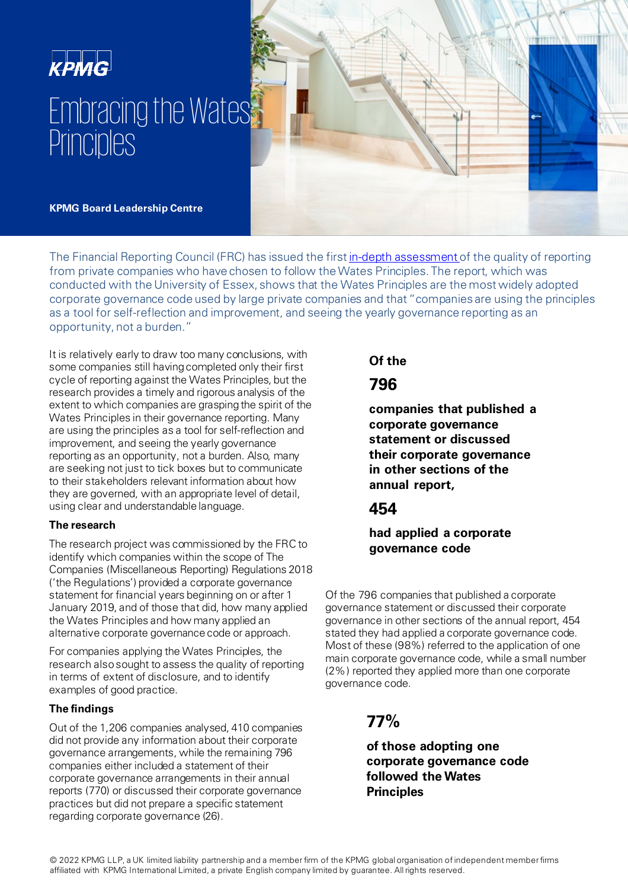# **KPMG** Embracing the Wates **Principles**



**KPMG Board Leadership Centre**

The Financial Reporting Council (FRC) has issued the first [in-depth assessment](https://www.frc.org.uk/getattachment/e8759f3d-d189-448e-979a-f6bb6d335c83/The-Wates-Corporate-Governance-Principles-for-Large-Private-Companies_Februrary2022.pdf) of the quality of reporting from private companies who have chosen to follow the Wates Principles. The report, which was conducted with the University of Essex, shows that the Wates Principles are the most widely adopted corporate governance code used by large private companies and that "companies are using the principles as a tool for self-reflection and improvement, and seeing the yearly governance reporting as an opportunity, not a burden."

It is relatively early to draw too many conclusions, with some companies still having completed only their first cycle of reporting against the Wates Principles, but the research provides a timely and rigorous analysis of the extent to which companies are grasping the spirit of the Wates Principles in their governance reporting. Many are using the principles as a tool for self-reflection and improvement, and seeing the yearly governance reporting as an opportunity, not a burden. Also, many are seeking not just to tick boxes but to communicate to their stakeholders relevant information about how they are governed, with an appropriate level of detail, using clear and understandable language.

#### **The research**

The research project was commissioned by the FRC to identify which companies within the scope of The Companies (Miscellaneous Reporting) Regulations 2018 ('the Regulations') provided a corporate governance statement for financial years beginning on or after 1 January 2019, and of those that did, how many applied the Wates Principles and how many applied an alternative corporate governance code or approach.

For companies applying the Wates Principles, the research also sought to assess the quality of reporting in terms of extent of disclosure, and to identify examples of good practice.

#### **The findings**

Out of the 1,206 companies analysed, 410 companies did not provide any information about their corporate governance arrangements, while the remaining 796 companies either included a statement of their corporate governance arrangements in their annual reports (770) or discussed their corporate governance practices but did not prepare a specific statement regarding corporate governance (26).

# **Of the**

# **796**

**companies that published a corporate governance statement or discussed their corporate governance in other sections of the annual report,** 

# **454**

## **had applied a corporate governance code**

Of the 796 companies that published a corporate governance statement or discussed their corporate governance in other sections of the annual report, 454 stated they had applied a corporate governance code. Most of these (98%) referred to the application of one main corporate governance code, while a small number (2%) reported they applied more than one corporate governance code.

# **77%**

**of those adopting one corporate governance code followed the Wates Principles**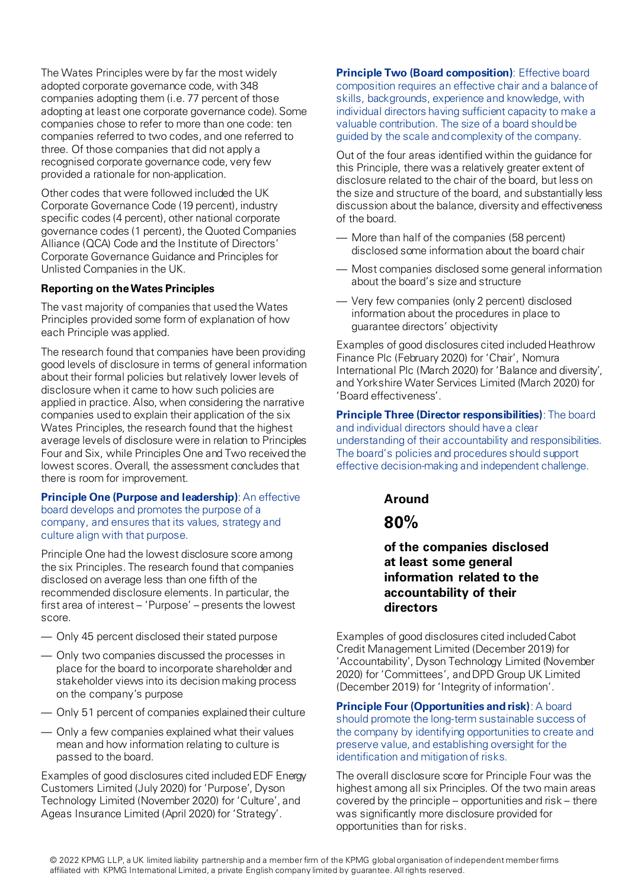The Wates Principles were by far the most widely adopted corporate governance code, with 348 companies adopting them (i.e. 77 percent of those adopting at least one corporate governance code). Some companies chose to refer to more than one code: ten companies referred to two codes, and one referred to three. Of those companies that did not apply a recognised corporate governance code, very few provided a rationale for non-application.

Other codes that were followed included the UK Corporate Governance Code (19 percent), industry specific codes (4 percent), other national corporate governance codes (1 percent), the Quoted Companies Alliance (QCA) Code and the Institute of Directors' Corporate Governance Guidance and Principles for Unlisted Companies in the UK.

#### **Reporting on the Wates Principles**

The vast majority of companies that used the Wates Principles provided some form of explanation of how each Principle was applied.

The research found that companies have been providing good levels of disclosure in terms of general information about their formal policies but relatively lower levels of disclosure when it came to how such policies are applied in practice. Also, when considering the narrative companies used to explain their application of the six Wates Principles, the research found that the highest average levels of disclosure were in relation to Principles Four and Six, while Principles One and Two received the lowest scores. Overall, the assessment concludes that there is room for improvement.

#### **Principle One (Purpose and leadership)**: An effective board develops and promotes the purpose of a company, and ensures that its values, strategy and culture align with that purpose.

Principle One had the lowest disclosure score among the six Principles. The research found that companies disclosed on average less than one fifth of the recommended disclosure elements. In particular, the first area of interest – 'Purpose' – presents the lowest score.

- Only 45 percent disclosed their stated purpose
- Only two companies discussed the processes in place for the board to incorporate shareholder and stakeholder views into its decision making process on the company's purpose
- Only 51 percent of companies explained their culture
- Only a few companies explained what their values mean and how information relating to culture is passed to the board.

Examples of good disclosures cited included EDF Energy Customers Limited (July 2020) for 'Purpose', Dyson Technology Limited (November 2020) for 'Culture', and Ageas Insurance Limited (April 2020) for 'Strategy'.

**Principle Two (Board composition)**: Effective board composition requires an effective chair and a balance of skills, backgrounds, experience and knowledge, with individual directors having sufficient capacity to make a valuable contribution. The size of a board should be guided by the scale and complexity of the company.

Out of the four areas identified within the guidance for this Principle, there was a relatively greater extent of disclosure related to the chair of the board, but less on the size and structure of the board, and substantially less discussion about the balance, diversity and effectiveness of the board.

- More than half of the companies (58 percent) disclosed some information about the board chair
- Most companies disclosed some general information about the board's size and structure
- Very few companies (only 2 percent) disclosed information about the procedures in place to guarantee directors' objectivity

Examples of good disclosures cited included Heathrow Finance Plc (February 2020) for 'Chair', Nomura International Plc (March 2020) for 'Balance and diversity', and Yorkshire Water Services Limited (March 2020) for 'Board effectiveness'.

**Principle Three (Director responsibilities)**: The board and individual directors should have a clear understanding of their accountability and responsibilities. The board's policies and procedures should support effective decision-making and independent challenge.

**Around** 

# **80%**

### **of the companies disclosed at least some general information related to the accountability of their directors**

Examples of good disclosures cited included Cabot Credit Management Limited (December 2019) for 'Accountability', Dyson Technology Limited (November 2020) for 'Committees', and DPD Group UK Limited (December 2019) for 'Integrity of information'.

**Principle Four (Opportunities and risk)**: A board should promote the long-term sustainable success of the company by identifying opportunities to create and preserve value, and establishing oversight for the identification and mitigation of risks.

The overall disclosure score for Principle Four was the highest among all six Principles. Of the two main areas covered by the principle – opportunities and risk – there was significantly more disclosure provided for opportunities than for risks.